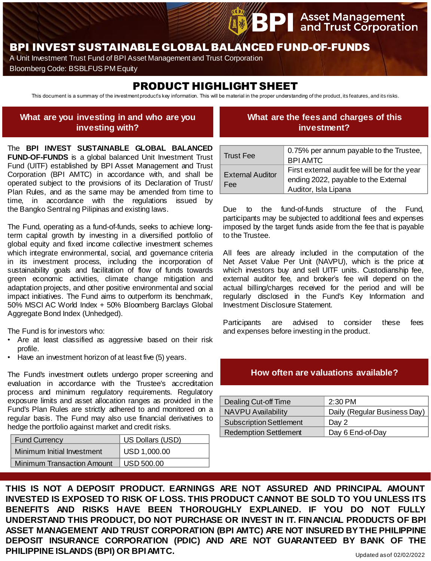# BPI INVEST SUSTAINABLE GLOBAL BALANCED FUND-OF-FUNDS

A Unit Investment Trust Fund of BPI Asset Management and Trust Corporation

Bloomberg Code: BSBLFUS PM Equity

# PRODUCT HIGHLIGHT SHEET

This document is a summary of the investment product's key information. This will be material in the proper understanding of the product, its features, and its risks.

### **What are you investing in and who are you investing with?**

## **What are the fees and charges of this investment?**

**PI** Asset Management<br>**PI** and Trust Corporation

The **BPI INVEST SUSTAINABLE GLOBAL BALANCED FUND-OF-FUNDS** is a global balanced Unit Investment Trust Fund (UITF) established by BPI Asset Management and Trust Corporation (BPI AMTC) in accordance with, and shall be operated subject to the provisions of its Declaration of Trust/ Plan Rules, and as the same may be amended from time to time, in accordance with the regulations issued by the Bangko Sentral ng Pilipinas and existing laws.

The Fund, operating as a fund-of-funds, seeks to achieve longterm capital growth by investing in a diversified portfolio of global equity and fixed income collective investment schemes which integrate environmental, social, and governance criteria in its investment process, including the incorporation of sustainability goals and facilitation of flow of funds towards green economic activities, climate change mitigation and adaptation projects, and other positive environmental and social impact initiatives. The Fund aims to outperform its benchmark, 50% MSCI AC World Index + 50% Bloomberg Barclays Global Aggregate Bond Index (Unhedged).

The Fund is for investors who:

- Are at least classified as aggressive based on their risk profile.
- Have an investment horizon of at least five (5) years.

The Fund's investment outlets undergo proper screening and evaluation in accordance with the Trustee's accreditation process and minimum regulatory requirements. Regulatory exposure limits and asset allocation ranges as provided in the Fund's Plan Rules are strictly adhered to and monitored on a regular basis. The Fund may also use financial derivatives to hedge the portfolio against market and credit risks.

| <b>Fund Currency</b>              | US Dollars (USD) |
|-----------------------------------|------------------|
| Minimum Initial Investment        | USD 1,000.00     |
| <b>Minimum Transaction Amount</b> | USD 500.00       |

| <b>Trust Fee</b>                      | 0.75% per annum payable to the Trustee,       |
|---------------------------------------|-----------------------------------------------|
|                                       | <b>BPIAMTC</b>                                |
| <b>External Auditor</b><br><b>Fee</b> | First external audit fee will be for the year |
|                                       | ending 2022, payable to the External          |
|                                       | Auditor, Isla Lipana                          |

Due to the fund-of-funds structure of the Fund, participants may be subjected to additional fees and expenses imposed by the target funds aside from the fee that is payable to the Trustee.

All fees are already included in the computation of the Net Asset Value Per Unit (NAVPU), which is the price at which investors buy and sell UITF units. Custodianship fee, external auditor fee, and broker's fee will depend on the actual billing/charges received for the period and will be regularly disclosed in the Fund's Key Information and Investment Disclosure Statement.

Participants are advised to consider these fees and expenses before investing in the product.

#### **How often are valuations available?**

| Dealing Cut-off Time           | $2:30$ PM                    |
|--------------------------------|------------------------------|
| <b>NAVPU Availability</b>      | Daily (Regular Business Day) |
| <b>Subscription Settlement</b> | Day 2                        |
| <b>Redemption Settlement</b>   | Day 6 End-of-Day             |

**THIS IS NOT A DEPOSIT PRODUCT. EARNINGS ARE NOT ASSURED AND PRINCIPAL AMOUNT INVESTED IS EXPOSED TO RISK OF LOSS. THIS PRODUCT CANNOT BE SOLD TO YOU UNLESS ITS BENEFITS AND RISKS HAVE BEEN THOROUGHLY EXPLAINED. IF YOU DO NOT FULLY UNDERSTAND THIS PRODUCT, DO NOT PURCHASE OR INVEST IN IT. FINANCIAL PRODUCTS OF BPI ASSET MANAGEMENT AND TRUST CORPORATION (BPI AMTC) ARE NOT INSURED BYTHE PHILIPPINE DEPOSIT INSURANCE CORPORATION (PDIC) AND ARE NOT GUARANTEED BY BANK OF THE PHILIPPINE ISLANDS (BPI) OR BPIAMTC.**